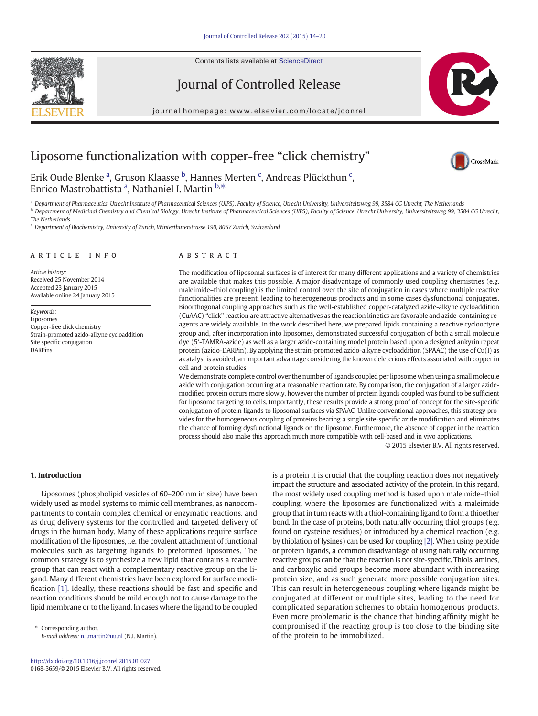Contents lists available at ScienceDirect





journal homepage: www.elsevier.com/locate/jconrel



# Liposome functionalization with copper-free "click chemistry"



Erik Oude Blenke <sup>a</sup>, Gruson Klaasse <sup>b</sup>, Hannes Merten <sup>c</sup>, Andreas Plückthun <sup>c</sup>, Enrico Mastrobattista <sup>a</sup>, Nathaniel I. Martin <sup>b,\*</sup>

a Department of Pharmaceutics, Utrecht Institute of Pharmaceutical Sciences (UIPS), Faculty of Science, Utrecht University, Universiteitsweg 99, 3584 CG Utrecht, The Netherlands **b** Department of Medicinal Chemistry and Chemical Biology, Utrecht Institute of Pharmaceutical Sciences (UIPS), Faculty of Science, Utrecht University, Universiteitsweg 99, 3584 CG Utrecht, The Netherlands

 $c$  Department of Biochemistry, University of Zurich, Winterthurerstrasse 190, 8057 Zurich, Switzerland

#### article info abstract

Article history: Received 25 November 2014 Accepted 23 January 2015 Available online 24 January 2015

Keywords: Liposomes Copper-free click chemistry Strain-promoted azido-alkyne cycloaddition Site specific conjugation DARPins

The modification of liposomal surfaces is of interest for many different applications and a variety of chemistries are available that makes this possible. A major disadvantage of commonly used coupling chemistries (e.g. maleimide–thiol coupling) is the limited control over the site of conjugation in cases where multiple reactive functionalities are present, leading to heterogeneous products and in some cases dysfunctional conjugates. Bioorthogonal coupling approaches such as the well-established copper-catalyzed azide-alkyne cycloaddition (CuAAC) "click" reaction are attractive alternatives as the reaction kinetics are favorable and azide-containing reagents are widely available. In the work described here, we prepared lipids containing a reactive cyclooctyne group and, after incorporation into liposomes, demonstrated successful conjugation of both a small molecule dye (5′-TAMRA-azide) as well as a larger azide-containing model protein based upon a designed ankyrin repeat protein (azido-DARPin). By applying the strain-promoted azido-alkyne cycloaddition (SPAAC) the use of Cu(I) as a catalyst is avoided, an important advantage considering the known deleterious effects associated with copper in cell and protein studies.

We demonstrate complete control over the number of ligands coupled per liposome when using a small molecule azide with conjugation occurring at a reasonable reaction rate. By comparison, the conjugation of a larger azidemodified protein occurs more slowly, however the number of protein ligands coupled was found to be sufficient for liposome targeting to cells. Importantly, these results provide a strong proof of concept for the site-specific conjugation of protein ligands to liposomal surfaces via SPAAC. Unlike conventional approaches, this strategy provides for the homogeneous coupling of proteins bearing a single site-specific azide modification and eliminates the chance of forming dysfunctional ligands on the liposome. Furthermore, the absence of copper in the reaction process should also make this approach much more compatible with cell-based and in vivo applications.

© 2015 Elsevier B.V. All rights reserved.

#### 1. Introduction

Liposomes (phospholipid vesicles of 60–200 nm in size) have been widely used as model systems to mimic cell membranes, as nanocompartments to contain complex chemical or enzymatic reactions, and as drug delivery systems for the controlled and targeted delivery of drugs in the human body. Many of these applications require surface modification of the liposomes, i.e. the covalent attachment of functional molecules such as targeting ligands to preformed liposomes. The common strategy is to synthesize a new lipid that contains a reactive group that can react with a complementary reactive group on the ligand. Many different chemistries have been explored for surface modification [\[1\].](#page-5-0) Ideally, these reactions should be fast and specific and reaction conditions should be mild enough not to cause damage to the lipid membrane or to the ligand. In cases where the ligand to be coupled

Corresponding author. E-mail address: [n.i.martin@uu.nl](mailto:n.i.martin@uu.nl) (N.I. Martin). is a protein it is crucial that the coupling reaction does not negatively impact the structure and associated activity of the protein. In this regard, the most widely used coupling method is based upon maleimide–thiol coupling, where the liposomes are functionalized with a maleimide group that in turn reacts with a thiol-containing ligand to form a thioether bond. In the case of proteins, both naturally occurring thiol groups (e.g. found on cysteine residues) or introduced by a chemical reaction (e.g. by thiolation of lysines) can be used for coupling [\[2\]](#page-5-0). When using peptide or protein ligands, a common disadvantage of using naturally occurring reactive groups can be that the reaction is not site-specific. Thiols, amines, and carboxylic acid groups become more abundant with increasing protein size, and as such generate more possible conjugation sites. This can result in heterogeneous coupling where ligands might be conjugated at different or multiple sites, leading to the need for complicated separation schemes to obtain homogenous products. Even more problematic is the chance that binding affinity might be compromised if the reacting group is too close to the binding site of the protein to be immobilized.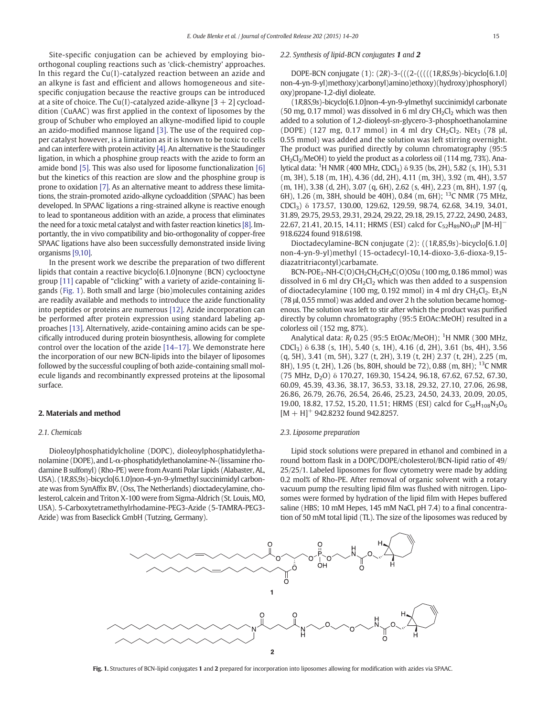Site-specific conjugation can be achieved by employing bioorthogonal coupling reactions such as 'click-chemistry' approaches. In this regard the Cu(I)-catalyzed reaction between an azide and an alkyne is fast and efficient and allows homogeneous and sitespecific conjugation because the reactive groups can be introduced at a site of choice. The Cu(I)-catalyzed azide-alkyne  $[3 + 2]$  cycloaddition (CuAAC) was first applied in the context of liposomes by the group of Schuber who employed an alkyne-modified lipid to couple an azido-modified mannose ligand [\[3\]](#page-5-0). The use of the required copper catalyst however, is a limitation as it is known to be toxic to cells and can interfere with protein activity [\[4\]](#page-5-0). An alternative is the Staudinger ligation, in which a phosphine group reacts with the azide to form an amide bond [\[5\]](#page-5-0). This was also used for liposome functionalization [\[6\]](#page-5-0) but the kinetics of this reaction are slow and the phosphine group is prone to oxidation [\[7\]](#page-5-0). As an alternative meant to address these limitations, the strain-promoted azido-alkyne cycloaddition (SPAAC) has been developed. In SPAAC ligations a ring-strained alkyne is reactive enough to lead to spontaneous addition with an azide, a process that eliminates the need for a toxic metal catalyst and with faster reaction kinetics [\[8\].](#page-5-0) Importantly, the in vivo compatibility and bio-orthogonality of copper-free SPAAC ligations have also been successfully demonstrated inside living organisms [\[9,10\]](#page-5-0).

In the present work we describe the preparation of two different lipids that contain a reactive bicyclo[6.1.0]nonyne (BCN) cyclooctyne group [\[11\]](#page-5-0) capable of "clicking" with a variety of azide-containing ligands (Fig. 1). Both small and large (bio)molecules containing azides are readily available and methods to introduce the azide functionality into peptides or proteins are numerous [\[12\].](#page-6-0) Azide incorporation can be performed after protein expression using standard labeling approaches [\[13\]](#page-6-0). Alternatively, azide-containing amino acids can be specifically introduced during protein biosynthesis, allowing for complete control over the location of the azide [\[14](#page-6-0)–17]. We demonstrate here the incorporation of our new BCN-lipids into the bilayer of liposomes followed by the successful coupling of both azide-containing small molecule ligands and recombinantly expressed proteins at the liposomal surface.

#### 2. Materials and method

#### 2.1. Chemicals

Dioleoylphosphatidylcholine (DOPC), dioleoylphosphatidylethanolamine (DOPE), and L-α-phosphatidylethanolamine-N-(lissamine rhodamine B sulfonyl) (Rho-PE) were from Avanti Polar Lipids (Alabaster, AL, USA). (1R,8S,9s)-bicyclo[6.1.0]non-4-yn-9-ylmethyl succinimidyl carbonate was from SynAffix BV, (Oss, The Netherlands) dioctadecylamine, cholesterol, calcein and Triton X-100 were from Sigma-Aldrich (St. Louis, MO, USA). 5-Carboxytetramethylrhodamine-PEG3-Azide (5-TAMRA-PEG3- Azide) was from Baseclick GmbH (Tutzing, Germany).

#### 2.2. Synthesis of lipid-BCN conjugates 1 and 2

DOPE-BCN conjugate (1): (2R)-3-(((2-(((((1R,8S,9s)-bicyclo[6.1.0] non-4-yn-9-yl)methoxy)carbonyl)amino)ethoxy)(hydroxy)phosphoryl) oxy)propane-1,2-diyl dioleate.

(1R,8S,9s)-bicyclo[6.1.0]non-4-yn-9-ylmethyl succinimidyl carbonate (50 mg, 0.17 mmol) was dissolved in 6 ml dry  $CH_2Cl_2$  which was then added to a solution of 1,2-dioleoyl-sn-glycero-3-phosphoethanolamine (DOPE) (127 mg, 0.17 mmol) in 4 ml dry  $CH_2Cl_2$ . NEt<sub>3</sub> (78 μl, 0.55 mmol) was added and the solution was left stirring overnight. The product was purified directly by column chromatography (95:5  $CH<sub>2</sub>Cl<sub>2</sub>/MeOH$ ) to yield the product as a colorless oil (114 mg, 73%). Analytical data: <sup>1</sup>H NMR (400 MHz, CDCl<sub>3</sub>) δ 9.35 (bs, 2H), 5.82 (s, 1H), 5.31 (m, 3H), 5.18 (m, 1H), 4.36 (dd, 2H), 4.11 (m, 3H), 3.92 (m, 4H), 3.57 (m, 1H), 3.38 (d, 2H), 3.07 (q, 6H), 2.62 (s, 4H), 2.23 (m, 8H), 1.97 (q, 6H), 1.26 (m, 38H, should be 40H), 0.84 (m, 6H); 13C NMR (75 MHz, CDCl3) δ 173.57, 130.00, 129.62, 129.59, 98.74, 62.68, 34.19, 34.01, 31.89, 29.75, 29.53, 29.31, 29.24, 29.22, 29.18, 29.15, 27.22, 24.90, 24.83, 22.67, 21.41, 20.15, 14.11; HRMS (ESI) calcd for  $C_{52}H_{89}NO_{10}P$  [M-H]<sup>-</sup> 918.6224 found 918.6198.

Dioctadecylamine-BCN conjugate (2): ((1R,8S,9s)-bicyclo[6.1.0] non-4-yn-9-yl)methyl (15-octadecyl-10,14-dioxo-3,6-dioxa-9,15 diazatritriacontyl)carbamate.

BCN-POE<sub>3</sub>-NH-C(O)CH<sub>2</sub>CH<sub>2</sub>CH<sub>2</sub>C(O)OSu (100 mg, 0.186 mmol) was dissolved in 6 ml dry  $CH<sub>2</sub>Cl<sub>2</sub>$  which was then added to a suspension of dioctadecylamine (100 mg, 0.192 mmol) in 4 ml dry  $CH_2Cl_2$ . Et<sub>3</sub>N (78 μl, 0.55 mmol) was added and over 2 h the solution became homogenous. The solution was left to stir after which the product was purified directly by column chromatography (95:5 EtOAc:MeOH) resulted in a colorless oil (152 mg, 87%).

Analytical data:  $R_f$  0.25 (95:5 EtOAc/MeOH);  $^1$ H NMR (300 MHz, CDCl3) δ 6.38 (s, 1H), 5.40 (s, 1H), 4.16 (d, 2H), 3.61 (bs, 4H), 3.56 (q, 5H), 3.41 (m, 5H), 3.27 (t, 2H), 3.19 (t, 2H) 2.37 (t, 2H), 2.25 (m, 8H), 1.95 (t, 2H), 1.26 (bs, 80H, should be 72), 0.88 (m, 8H); <sup>13</sup>C NMR (75 MHz, D2O) δ 170.27, 169.30, 154.24, 96.18, 67.62, 67.52, 67.30, 60.09, 45.39, 43.36, 38.17, 36.53, 33.18, 29.32, 27.10, 27.06, 26.98, 26.86, 26.79, 26.76, 26.54, 26.46, 25.23, 24.50, 24.33, 20.09, 20.05, 19.00, 18.82, 17.52, 15.20, 11.51; HRMS (ESI) calcd for  $C_{58}H_{108}N_3O_6$  $[M + H]$ <sup>+</sup> 942.8232 found 942.8257.

#### 2.3. Liposome preparation

Lipid stock solutions were prepared in ethanol and combined in a round bottom flask in a DOPC/DOPE/cholesterol/BCN-lipid ratio of 49/ 25/25/1. Labeled liposomes for flow cytometry were made by adding 0.2 mol% of Rho-PE. After removal of organic solvent with a rotary vacuum pump the resulting lipid film was flushed with nitrogen. Liposomes were formed by hydration of the lipid film with Hepes buffered saline (HBS; 10 mM Hepes, 145 mM NaCl, pH 7.4) to a final concentration of 50 mM total lipid (TL). The size of the liposomes was reduced by



Fig. 1. Structures of BCN-lipid conjugates 1 and 2 prepared for incorporation into liposomes allowing for modification with azides via SPAAC.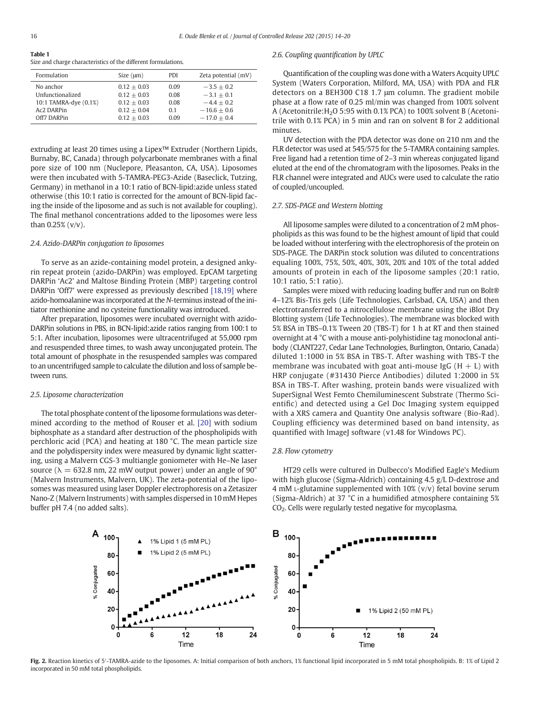## <span id="page-2-0"></span>Table 1

Size and charge characteristics of the different formulations.

| Formulation<br>Size $(\mu m)$                                                                                                                                            | PDI                                 | Zeta potential (mV)                                                            |
|--------------------------------------------------------------------------------------------------------------------------------------------------------------------------|-------------------------------------|--------------------------------------------------------------------------------|
| No anchor<br>$0.12 + 0.03$<br>Unfunctionalized<br>$0.12 + 0.03$<br>10:1 TAMRA-dye (0.1%)<br>$0.12 + 0.03$<br>Ac2 DARPin<br>$0.12 + 0.04$<br>Off7 DARPin<br>$0.12 + 0.03$ | 0.09<br>0.08<br>0.08<br>0.1<br>0.09 | $-3.5 + 0.2$<br>$-3.1 + 0.1$<br>$-4.4 + 0.2$<br>$-16.6 + 0.6$<br>$-17.0 + 0.4$ |

extruding at least 20 times using a Lipex™ Extruder (Northern Lipids, Burnaby, BC, Canada) through polycarbonate membranes with a final pore size of 100 nm (Nuclepore, Pleasanton, CA, USA). Liposomes were then incubated with 5-TAMRA-PEG3-Azide (Baseclick, Tutzing, Germany) in methanol in a 10:1 ratio of BCN-lipid:azide unless stated otherwise (this 10:1 ratio is corrected for the amount of BCN-lipid facing the inside of the liposome and as such is not available for coupling). The final methanol concentrations added to the liposomes were less than 0.25% (v/v).

### 2.4. Azido-DARPin conjugation to liposomes

To serve as an azide-containing model protein, a designed ankyrin repeat protein (azido-DARPin) was employed. EpCAM targeting DARPin 'Ac2' and Maltose Binding Protein (MBP) targeting control DARPin 'Off7' were expressed as previously described [\[18,19\]](#page-6-0) where azido-homoalanine was incorporated at the N-terminus instead of the initiator methionine and no cysteine functionality was introduced.

After preparation, liposomes were incubated overnight with azido-DARPin solutions in PBS, in BCN-lipid:azide ratios ranging from 100:1 to 5:1. After incubation, liposomes were ultracentrifuged at 55,000 rpm and resuspended three times, to wash away unconjugated protein. The total amount of phosphate in the resuspended samples was compared to an uncentrifuged sample to calculate the dilution and loss of sample between runs.

#### 2.5. Liposome characterization

The total phosphate content of the liposome formulations was determined according to the method of Rouser et al. [\[20\]](#page-6-0) with sodium biphosphate as a standard after destruction of the phospholipids with perchloric acid (PCA) and heating at 180 °C. The mean particle size and the polydispersity index were measured by dynamic light scattering, using a Malvern CGS-3 multiangle goniometer with He–Ne laser source ( $\lambda = 632.8$  nm, 22 mW output power) under an angle of 90 $^{\circ}$ (Malvern Instruments, Malvern, UK). The zeta-potential of the liposomes was measured using laser Doppler electrophoresis on a Zetasizer Nano-Z (Malvern Instruments) with samples dispersed in 10 mM Hepes buffer pH 7.4 (no added salts).

#### 2.6. Coupling quantification by UPLC

Quantification of the coupling was done with a Waters Acquity UPLC System (Waters Corporation, Milford, MA, USA) with PDA and FLR detectors on a BEH300 C18 1.7 μm column. The gradient mobile phase at a flow rate of 0.25 ml/min was changed from 100% solvent A (Acetonitrile:  $H_2O$  5:95 with 0.1% PCA) to 100% solvent B (Acetonitrile with 0.1% PCA) in 5 min and ran on solvent B for 2 additional minutes.

UV detection with the PDA detector was done on 210 nm and the FLR detector was used at 545/575 for the 5-TAMRA containing samples. Free ligand had a retention time of 2–3 min whereas conjugated ligand eluted at the end of the chromatogram with the liposomes. Peaks in the FLR channel were integrated and AUCs were used to calculate the ratio of coupled/uncoupled.

#### 2.7. SDS-PAGE and Western blotting

All liposome samples were diluted to a concentration of 2 mM phospholipids as this was found to be the highest amount of lipid that could be loaded without interfering with the electrophoresis of the protein on SDS-PAGE. The DARPin stock solution was diluted to concentrations equaling 100%, 75%, 50%, 40%, 30%, 20% and 10% of the total added amounts of protein in each of the liposome samples (20:1 ratio, 10:1 ratio, 5:1 ratio).

Samples were mixed with reducing loading buffer and run on Bolt® 4–12% Bis-Tris gels (Life Technologies, Carlsbad, CA, USA) and then electrotransferred to a nitrocellulose membrane using the iBlot Dry Blotting system (Life Technologies). The membrane was blocked with 5% BSA in TBS–0.1% Tween 20 (TBS-T) for 1 h at RT and then stained overnight at 4 °C with a mouse anti-polyhistidine tag monoclonal antibody (CLANT227, Cedar Lane Technologies, Burlington, Ontario, Canada) diluted 1:1000 in 5% BSA in TBS-T. After washing with TBS-T the membrane was incubated with goat anti-mouse IgG  $(H + L)$  with HRP conjugate (#31430 Pierce Antibodies) diluted 1:2000 in 5% BSA in TBS-T. After washing, protein bands were visualized with SuperSignal West Femto Chemiluminescent Substrate (Thermo Scientific) and detected using a Gel Doc Imaging system equipped with a XRS camera and Quantity One analysis software (Bio-Rad). Coupling efficiency was determined based on band intensity, as quantified with ImageJ software (v1.48 for Windows PC).

#### 2.8. Flow cytometry

HT29 cells were cultured in Dulbecco's Modified Eagle's Medium with high glucose (Sigma-Aldrich) containing 4.5 g/L D-dextrose and 4 mM L-glutamine supplemented with  $10\%$  ( $v/v$ ) fetal bovine serum (Sigma-Aldrich) at 37 °C in a humidified atmosphere containing 5% CO2. Cells were regularly tested negative for mycoplasma.



Fig. 2. Reaction kinetics of 5'-TAMRA-azide to the liposomes. A: Initial comparison of both anchors, 1% functional lipid incorporated in 5 mM total phospholipids. B: 1% of Lipid 2 incorporated in 50 mM total phospholipids.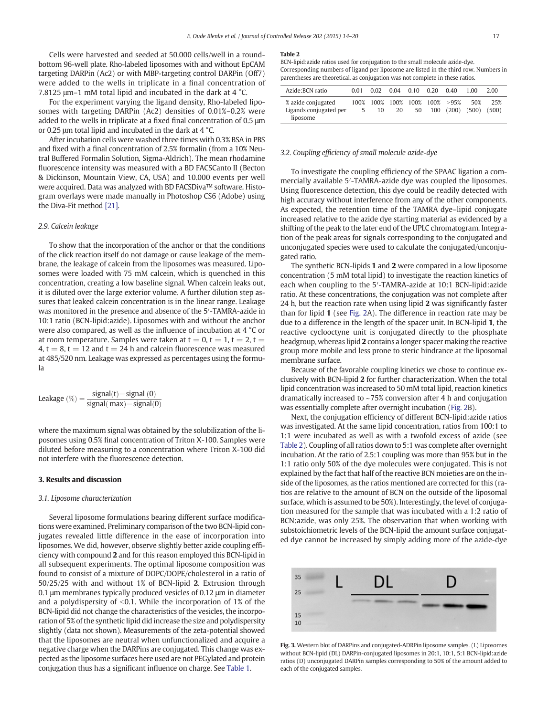<span id="page-3-0"></span>Cells were harvested and seeded at 50.000 cells/well in a roundbottom 96-well plate. Rho-labeled liposomes with and without EpCAM targeting DARPin (Ac2) or with MBP-targeting control DARPin (Off7) were added to the wells in triplicate in a final concentration of 7.8125 μm–1 mM total lipid and incubated in the dark at 4 °C.

For the experiment varying the ligand density, Rho-labeled liposomes with targeting DARPin (Ac2) densities of 0.01%–0.2% were added to the wells in triplicate at a fixed final concentration of 0.5 μm or 0.25 μm total lipid and incubated in the dark at 4 °C.

After incubation cells were washed three times with 0.3% BSA in PBS and fixed with a final concentration of 2.5% formalin (from a 10% Neutral Buffered Formalin Solution, Sigma-Aldrich). The mean rhodamine fluorescence intensity was measured with a BD FACSCanto II (Becton & Dickinson, Mountain View, CA, USA) and 10.000 events per well were acquired. Data was analyzed with BD FACSDiva™ software. Histogram overlays were made manually in Photoshop CS6 (Adobe) using the Diva-Fit method [\[21\].](#page-6-0)

#### 2.9. Calcein leakage

To show that the incorporation of the anchor or that the conditions of the click reaction itself do not damage or cause leakage of the membrane, the leakage of calcein from the liposomes was measured. Liposomes were loaded with 75 mM calcein, which is quenched in this concentration, creating a low baseline signal. When calcein leaks out, it is diluted over the large exterior volume. A further dilution step assures that leaked calcein concentration is in the linear range. Leakage was monitored in the presence and absence of the 5′-TAMRA-azide in 10:1 ratio (BCN-lipid:azide). Liposomes with and without the anchor were also compared, as well as the influence of incubation at 4 °C or at room temperature. Samples were taken at  $t = 0$ ,  $t = 1$ ,  $t = 2$ ,  $t =$ 4,  $t = 8$ ,  $t = 12$  and  $t = 24$  h and calcein fluorescence was measured at 485/520 nm. Leakage was expressed as percentages using the formula

$$
Leakage\ (\%) = \frac{signal(t)-signal\ (0)}{signal(\ max)-signal(0)}
$$

where the maximum signal was obtained by the solubilization of the liposomes using 0.5% final concentration of Triton X-100. Samples were diluted before measuring to a concentration where Triton X-100 did not interfere with the fluorescence detection.

#### 3. Results and discussion

#### 3.1. Liposome characterization

Several liposome formulations bearing different surface modifications were examined. Preliminary comparison of the two BCN-lipid conjugates revealed little difference in the ease of incorporation into liposomes. We did, however, observe slightly better azide coupling efficiency with compound 2 and for this reason employed this BCN-lipid in all subsequent experiments. The optimal liposome composition was found to consist of a mixture of DOPC/DOPE/cholesterol in a ratio of 50/25/25 with and without 1% of BCN-lipid 2. Extrusion through 0.1 μm membranes typically produced vesicles of 0.12 μm in diameter and a polydispersity of  $<$ 0.1. While the incorporation of 1% of the BCN-lipid did not change the characteristics of the vesicles, the incorporation of 5% of the synthetic lipid did increase the size and polydispersity slightly (data not shown). Measurements of the zeta-potential showed that the liposomes are neutral when unfunctionalized and acquire a negative charge when the DARPins are conjugated. This change was expected as the liposome surfaces here used are not PEGylated and protein conjugation thus has a significant influence on charge. See [Table 1.](#page-2-0)

#### Table 2

BCN-lipid:azide ratios used for conjugation to the small molecule azide-dye. Corresponding numbers of ligand per liposome are listed in the third row. Numbers in parentheses are theoretical, as conjugation was not complete in these ratios.

| Azide: BCN ratio                                         | 0.01 | 0.02 | $0.04$ 0.10 |    | 0.20 | 0.40                                       | 1.00         | 2.00         |
|----------------------------------------------------------|------|------|-------------|----|------|--------------------------------------------|--------------|--------------|
| % azide conjugated<br>Ligands conjugated per<br>liposome | .5   | 10   | 20          | 50 |      | 100% 100% 100% 100% 100% >95%<br>100 (200) | 50%<br>(500) | 25%<br>(500) |

#### 3.2. Coupling efficiency of small molecule azide-dye

To investigate the coupling efficiency of the SPAAC ligation a commercially available 5′-TAMRA-azide dye was coupled the liposomes. Using fluorescence detection, this dye could be readily detected with high accuracy without interference from any of the other components. As expected, the retention time of the TAMRA dye–lipid conjugate increased relative to the azide dye starting material as evidenced by a shifting of the peak to the later end of the UPLC chromatogram. Integration of the peak areas for signals corresponding to the conjugated and unconjugated species were used to calculate the conjugated/unconjugated ratio.

The synthetic BCN-lipids 1 and 2 were compared in a low liposome concentration (5 mM total lipid) to investigate the reaction kinetics of each when coupling to the 5′-TAMRA-azide at 10:1 BCN-lipid:azide ratio. At these concentrations, the conjugation was not complete after 24 h, but the reaction rate when using lipid 2 was significantly faster than for lipid 1 (see [Fig. 2A](#page-2-0)). The difference in reaction rate may be due to a difference in the length of the spacer unit. In BCN-lipid 1, the reactive cyclooctyne unit is conjugated directly to the phosphate headgroup, whereas lipid 2 contains a longer spacer making the reactive group more mobile and less prone to steric hindrance at the liposomal membrane surface.

Because of the favorable coupling kinetics we chose to continue exclusively with BCN-lipid 2 for further characterization. When the total lipid concentration was increased to 50 mM total lipid, reaction kinetics dramatically increased to ~75% conversion after 4 h and conjugation was essentially complete after overnight incubation [\(Fig. 2](#page-2-0)B).

Next, the conjugation efficiency of different BCN-lipid:azide ratios was investigated. At the same lipid concentration, ratios from 100:1 to 1:1 were incubated as well as with a twofold excess of azide (see Table 2). Coupling of all ratios down to 5:1 was complete after overnight incubation. At the ratio of 2.5:1 coupling was more than 95% but in the 1:1 ratio only 50% of the dye molecules were conjugated. This is not explained by the fact that half of the reactive BCN moieties are on the inside of the liposomes, as the ratios mentioned are corrected for this (ratios are relative to the amount of BCN on the outside of the liposomal surface, which is assumed to be 50%). Interestingly, the level of conjugation measured for the sample that was incubated with a 1:2 ratio of BCN:azide, was only 25%. The observation that when working with substoichiometric levels of the BCN-lipid the amount surface conjugated dye cannot be increased by simply adding more of the azide-dye



Fig. 3. Western blot of DARPins and conjugated-ADRPin liposome samples. (L) Liposomes without BCN-lipid (DL) DARPin-conjugated liposomes in 20:1, 10:1, 5:1 BCN-lipid:azide ratios (D) unconjugated DARPin samples corresponding to 50% of the amount added to each of the conjugated samples.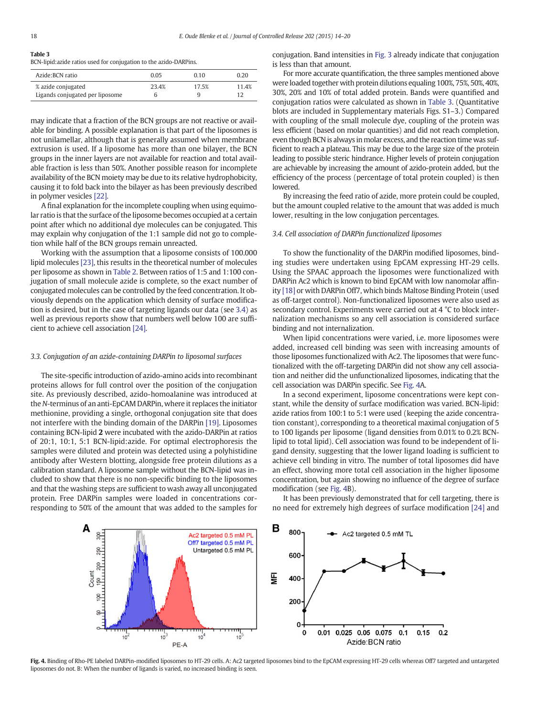#### Table 3

BCN-lipid:azide ratios used for conjugation to the azido-DARPins.

| Azide: BCN ratio                | 0.05  | 0.10  | 0.20  |
|---------------------------------|-------|-------|-------|
| % azide conjugated              | 23.4% | 17.5% | 11.4% |
| Ligands conjugated per liposome | h     | a     |       |

may indicate that a fraction of the BCN groups are not reactive or available for binding. A possible explanation is that part of the liposomes is not unilamellar, although that is generally assumed when membrane extrusion is used. If a liposome has more than one bilayer, the BCN groups in the inner layers are not available for reaction and total available fraction is less than 50%. Another possible reason for incomplete availability of the BCN moiety may be due to its relative hydrophobicity, causing it to fold back into the bilayer as has been previously described in polymer vesicles [\[22\]](#page-6-0).

A final explanation for the incomplete coupling when using equimolar ratio is that the surface of the liposome becomes occupied at a certain point after which no additional dye molecules can be conjugated. This may explain why conjugation of the 1:1 sample did not go to completion while half of the BCN groups remain unreacted.

Working with the assumption that a liposome consists of 100.000 lipid molecules [\[23\],](#page-6-0) this results in the theoretical number of molecules per liposome as shown in [Table 2.](#page-3-0) Between ratios of 1:5 and 1:100 conjugation of small molecule azide is complete, so the exact number of conjugated molecules can be controlled by the feed concentration. It obviously depends on the application which density of surface modification is desired, but in the case of targeting ligands our data (see 3.4) as well as previous reports show that numbers well below 100 are sufficient to achieve cell association [\[24\]](#page-6-0).

#### 3.3. Conjugation of an azide-containing DARPin to liposomal surfaces

The site-specific introduction of azido-amino acids into recombinant proteins allows for full control over the position of the conjugation site. As previously described, azido-homoalanine was introduced at the N-terminus of an anti-EpCAM DARPin, where it replaces the initiator methionine, providing a single, orthogonal conjugation site that does not interfere with the binding domain of the DARPin [\[19\]](#page-6-0). Liposomes containing BCN-lipid 2 were incubated with the azido-DARPin at ratios of 20:1, 10:1, 5:1 BCN-lipid:azide. For optimal electrophoresis the samples were diluted and protein was detected using a polyhistidine antibody after Western blotting, alongside free protein dilutions as a calibration standard. A liposome sample without the BCN-lipid was included to show that there is no non-specific binding to the liposomes and that the washing steps are sufficient to wash away all unconjugated protein. Free DARPin samples were loaded in concentrations corresponding to 50% of the amount that was added to the samples for conjugation. Band intensities in [Fig. 3](#page-3-0) already indicate that conjugation is less than that amount.

For more accurate quantification, the three samples mentioned above were loaded together with protein dilutions equaling 100%, 75%, 50%, 40%, 30%, 20% and 10% of total added protein. Bands were quantified and conjugation ratios were calculated as shown in Table 3. (Quantitative blots are included in Supplementary materials Figs. S1–3.) Compared with coupling of the small molecule dye, coupling of the protein was less efficient (based on molar quantities) and did not reach completion, even though BCN is always in molar excess, and the reaction time was sufficient to reach a plateau. This may be due to the large size of the protein leading to possible steric hindrance. Higher levels of protein conjugation are achievable by increasing the amount of azido-protein added, but the efficiency of the process (percentage of total protein coupled) is then lowered.

By increasing the feed ratio of azide, more protein could be coupled, but the amount coupled relative to the amount that was added is much lower, resulting in the low conjugation percentages.

#### 3.4. Cell association of DARPin functionalized liposomes

To show the functionality of the DARPin modified liposomes, binding studies were undertaken using EpCAM expressing HT-29 cells. Using the SPAAC approach the liposomes were functionalized with DARPin Ac2 which is known to bind EpCAM with low nanomolar affinity [\[18\]](#page-6-0) or with DARPin Off7, which binds Maltose Binding Protein (used as off-target control). Non-functionalized liposomes were also used as secondary control. Experiments were carried out at 4 °C to block internalization mechanisms so any cell association is considered surface binding and not internalization.

When lipid concentrations were varied, i.e. more liposomes were added, increased cell binding was seen with increasing amounts of those liposomes functionalized with Ac2. The liposomes that were functionalized with the off-targeting DARPin did not show any cell association and neither did the unfunctionalized liposomes, indicating that the cell association was DARPin specific. See Fig. 4A.

In a second experiment, liposome concentrations were kept constant, while the density of surface modification was varied. BCN-lipid: azide ratios from 100:1 to 5:1 were used (keeping the azide concentration constant), corresponding to a theoretical maximal conjugation of 5 to 100 ligands per liposome (ligand densities from 0.01% to 0.2% BCNlipid to total lipid). Cell association was found to be independent of ligand density, suggesting that the lower ligand loading is sufficient to achieve cell binding in vitro. The number of total liposomes did have an effect, showing more total cell association in the higher liposome concentration, but again showing no influence of the degree of surface modification (see Fig. 4B).

It has been previously demonstrated that for cell targeting, there is no need for extremely high degrees of surface modification [\[24\]](#page-6-0) and



Fig. 4. Binding of Rho-PE labeled DARPin-modified liposomes to HT-29 cells. A: Ac2 targeted liposomes bind to the EpCAM expressing HT-29 cells whereas Off7 targeted and untargeted liposomes do not. B: When the number of ligands is varied, no increased binding is seen.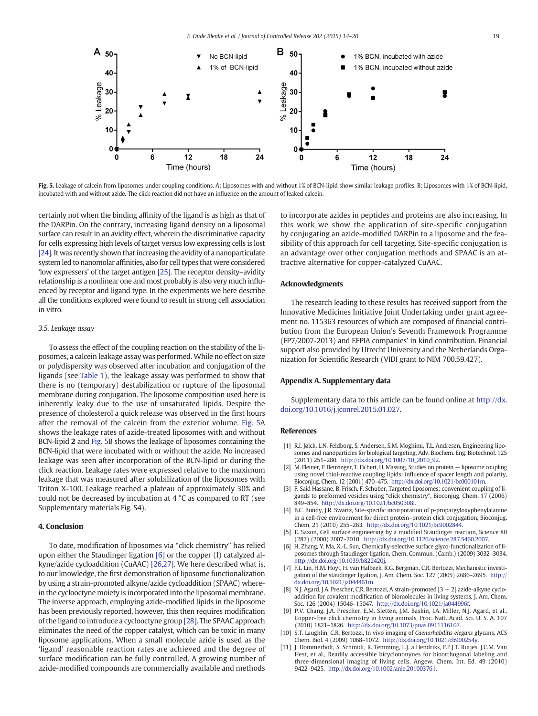<span id="page-5-0"></span>

Fig. 5. Leakage of calcein from liposomes under coupling conditions. A: Liposomes with and without 1% of BCN-lipid show similar leakage profiles. B: Liposomes with 1% of BCN-lipid, incubated with and without azide. The click reaction did not have an influence on the amount of leaked calcein.

certainly not when the binding affinity of the ligand is as high as that of the DARPin. On the contrary, increasing ligand density on a liposomal surface can result in an avidity effect, wherein the discriminative capacity for cells expressing high levels of target versus low expressing cells is lost [\[24\]](#page-6-0). It was recently shown that increasing the avidity of a nanoparticulate system led to nanomolar affinities, also for cell types that were considered 'low expressers' of the target antigen [\[25\].](#page-6-0) The receptor density–avidity relationship is a nonlinear one and most probably is also very much influenced by receptor and ligand type. In the experiments we here describe all the conditions explored were found to result in strong cell association in vitro.

#### 3.5. Leakage assay

To assess the effect of the coupling reaction on the stability of the liposomes, a calcein leakage assay was performed. While no effect on size or polydispersity was observed after incubation and conjugation of the ligands (see [Table 1](#page-2-0)), the leakage assay was performed to show that there is no (temporary) destabilization or rupture of the liposomal membrane during conjugation. The liposome composition used here is inherently leaky due to the use of unsaturated lipids. Despite the presence of cholesterol a quick release was observed in the first hours after the removal of the calcein from the exterior volume. Fig. 5A shows the leakage rates of azide-treated liposomes with and without BCN-lipid 2 and Fig. 5B shows the leakage of liposomes containing the BCN-lipid that were incubated with or without the azide. No increased leakage was seen after incorporation of the BCN-lipid or during the click reaction. Leakage rates were expressed relative to the maximum leakage that was measured after solubilization of the liposomes with Triton X-100. Leakage reached a plateau of approximately 30% and could not be decreased by incubation at 4 °C as compared to RT (see Supplementary materials Fig. S4).

### 4. Conclusion

To date, modification of liposomes via "click chemistry" has relied upon either the Staudinger ligation [6] or the copper (I) catalyzed alkyne/azide cycloaddition (CuAAC) [\[26,27\]](#page-6-0). We here described what is, to our knowledge, the first demonstration of liposome functionalization by using a strain-promoted alkyne/azide cycloaddition (SPAAC) wherein the cyclooctyne moiety is incorporated into the liposomal membrane. The inverse approach, employing azide-modified lipids in the liposome has been previously reported, however, this then requires modification of the ligand to introduce a cyclooctyne group [\[28\].](#page-6-0) The SPAAC approach eliminates the need of the copper catalyst, which can be toxic in many liposome applications. When a small molecule azide is used as the 'ligand' reasonable reaction rates are achieved and the degree of surface modification can be fully controlled. A growing number of azide-modified compounds are commercially available and methods

to incorporate azides in peptides and proteins are also increasing. In this work we show the application of site-specific conjugation by conjugating an azide-modified DARPin to a liposome and the feasibility of this approach for cell targeting. Site-specific conjugation is an advantage over other conjugation methods and SPAAC is an attractive alternative for copper-catalyzed CuAAC.

#### Acknowledgments

The research leading to these results has received support from the Innovative Medicines Initiative Joint Undertaking under grant agreement no. 115363 resources of which are composed of financial contribution from the European Union's Seventh Framework Programme (FP7/2007-2013) and EFPIA companies' in kind contribution. Financial support also provided by Utrecht University and the Netherlands Organization for Scientific Research (VIDI grant to NIM 700.59.427).

#### Appendix A. Supplementary data

Supplementary data to this article can be found online at [http://dx.](http://dx.doi.org/10.1016/j.jconrel.2015.01.027) [doi.org/10.1016/j.jconrel.2015.01.027.](http://dx.doi.org/10.1016/j.jconrel.2015.01.027)

#### References

- [1] R.I. Jølck, L.N. Feldborg, S. Andersen, S.M. Moghimi, T.L. Andresen, Engineering liposomes and nanoparticles for biological targeting, Adv. Biochem. Eng. Biotechnol. 125 (2011) 251–280. http://dx.doi.org[/10.1007/10\\_2010\\_92.](http://dx.doi.org/10.1007/10_2010_92)
- [2] M. Fleiner, P. Benzinger, T. Fichert, U. Massing, Studies on protein − liposome coupling using novel thiol-reactive coupling lipids: influence of spacer length and polarity, Bioconjug. Chem. 12 (2001) 470–475. http://dx.doi.org[/10.1021/bc000101m.](http://dx.doi.org/10.1021/bc000101m)
- [3] F. Said Hassane, B. Frisch, F. Schuber, Targeted liposomes: convenient coupling of ligands to preformed vesicles using "click chemistry", Bioconjug. Chem. 17 (2006) 849–854. http://dx.doi.org/[10.1021/bc050308l](http://dx.doi.org/10.1021/bc050308l).
- [4] B.C. Bundy, J.R. Swartz, Site-specific incorporation of p-propargyloxyphenylalanine in a cell-free environment for direct protein–protein click conjugation, Bioconjug. Chem. 21 (2010) 255–263. http://dx.doi.org[/10.1021/bc9002844](http://dx.doi.org/10.1021/bc9002844).
- [5] E. Saxon, Cell surface engineering by a modified Staudinger reaction, Science 80 (287) (2000) 2007–2010. http://dx.doi.org[/10.1126/science.287.5460.2007](http://dx.doi.org/10.1126/science.287.5460.2007).
- [6] H. Zhang, Y. Ma, X.-L. Sun, Chemically-selective surface glyco-functionalization of liposomes through Staudinger ligation, Chem. Commun. (Camb.) (2009) 3032–3034. http://dx.doi.org/[10.1039/b822420j](http://dx.doi.org/10.1039/b822420j).
- [7] F.L. Lin, H.M. Hoyt, H. van Halbeek, R.G. Bergman, C.R. Bertozzi, Mechanistic investigation of the staudinger ligation, J. Am. Chem. Soc. 127 (2005) 2686–2695. http:// dx.doi.org[/10.1021/ja044461m](http://dx.doi.org/10.1021/ja044461m).
- [8] N.J. Agard, J.A. Prescher, C.R. Bertozzi, A strain-promoted [3 + 2] azide-alkyne cycloaddition for covalent modification of biomolecules in living systems, J. Am. Chem. Soc. 126 (2004) 15046–15047. http://dx.doi.org[/10.1021/ja044996f](http://dx.doi.org/10.1021/ja044996f).
- [9] P.V. Chang, J.A. Prescher, E.M. Sletten, J.M. Baskin, I.A. Miller, N.J. Agard, et al., Copper-free click chemistry in living animals, Proc. Natl. Acad. Sci. U. S. A. 107 (2010) 1821–1826. http://dx.doi.org[/10.1073/pnas.0911116107](http://dx.doi.org/10.1073/pnas.0911116107).
- [10] S.T. Laughlin, C.R. Bertozzi, In vivo imaging of Caenorhabditis elegans glycans, ACS Chem. Biol. 4 (2009) 1068–1072. http://dx.doi.org[/10.1021/cb900254y.](http://dx.doi.org/10.1021/cb900254y)
- [11] J. Dommerholt, S. Schmidt, R. Temming, L.J. a Hendriks, F.P.J.T. Rutjes, J.C.M. Van Hest, et al., Readily accessible bicyclononynes for bioorthogonal labeling and three-dimensional imaging of living cells, Angew. Chem. Int. Ed. 49 (2010) 9422–9425. http://dx.doi.org[/10.1002/anie.201003761](http://dx.doi.org/10.1002/anie.201003761).